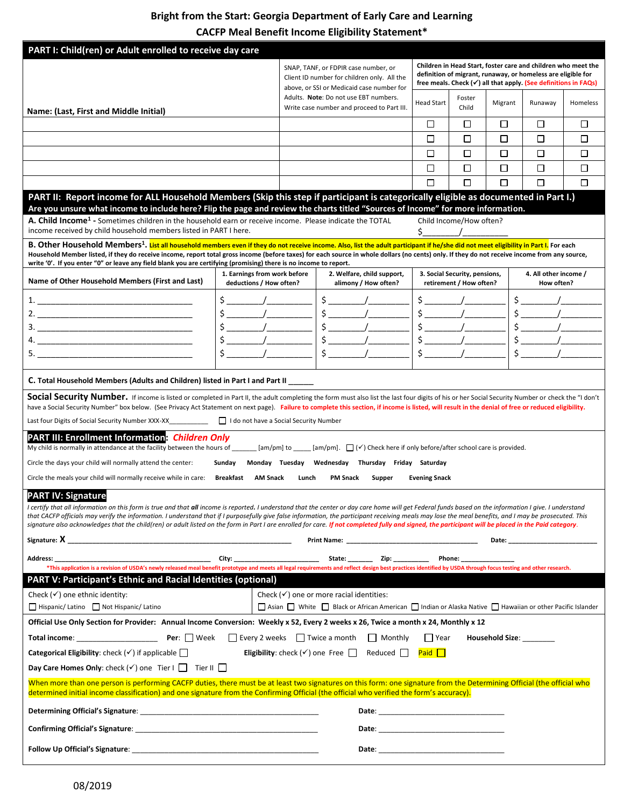# **Bright from the Start: Georgia Department of Early Care and Learning**

**CACFP Meal Benefit Income Eligibility Statement\***

| PART I: Child(ren) or Adult enrolled to receive day care                                                                                                                                                                                                                                                                                                                                                                                                                                                                                                                                                                                               |                                                         |                                                                                                                                                                                                                         |                                                                                                            |        |                                                                                                                                                                                                                                |                                                          |                 |                                     |          |
|--------------------------------------------------------------------------------------------------------------------------------------------------------------------------------------------------------------------------------------------------------------------------------------------------------------------------------------------------------------------------------------------------------------------------------------------------------------------------------------------------------------------------------------------------------------------------------------------------------------------------------------------------------|---------------------------------------------------------|-------------------------------------------------------------------------------------------------------------------------------------------------------------------------------------------------------------------------|------------------------------------------------------------------------------------------------------------|--------|--------------------------------------------------------------------------------------------------------------------------------------------------------------------------------------------------------------------------------|----------------------------------------------------------|-----------------|-------------------------------------|----------|
| Name: (Last, First and Middle Initial)                                                                                                                                                                                                                                                                                                                                                                                                                                                                                                                                                                                                                 |                                                         | SNAP, TANF, or FDPIR case number, or<br>Client ID number for children only. All the<br>above, or SSI or Medicaid case number for<br>Adults. Note: Do not use EBT numbers.<br>Write case number and proceed to Part III. |                                                                                                            |        | Children in Head Start, foster care and children who meet the<br>definition of migrant, runaway, or homeless are eligible for<br>free meals. Check $(\checkmark)$ all that apply. (See definitions in FAQs)                    |                                                          |                 |                                     |          |
|                                                                                                                                                                                                                                                                                                                                                                                                                                                                                                                                                                                                                                                        |                                                         |                                                                                                                                                                                                                         |                                                                                                            |        | Head Start                                                                                                                                                                                                                     | Foster<br>Child                                          | Migrant         | Runaway                             | Homeless |
|                                                                                                                                                                                                                                                                                                                                                                                                                                                                                                                                                                                                                                                        |                                                         |                                                                                                                                                                                                                         |                                                                                                            |        | □                                                                                                                                                                                                                              | □                                                        | □               | □                                   | □        |
|                                                                                                                                                                                                                                                                                                                                                                                                                                                                                                                                                                                                                                                        |                                                         |                                                                                                                                                                                                                         |                                                                                                            |        | □                                                                                                                                                                                                                              | П                                                        | □               | □                                   | □        |
|                                                                                                                                                                                                                                                                                                                                                                                                                                                                                                                                                                                                                                                        |                                                         |                                                                                                                                                                                                                         |                                                                                                            |        | П                                                                                                                                                                                                                              | □                                                        | □               | □                                   | □        |
|                                                                                                                                                                                                                                                                                                                                                                                                                                                                                                                                                                                                                                                        |                                                         |                                                                                                                                                                                                                         |                                                                                                            |        | $\Box$                                                                                                                                                                                                                         | $\Box$                                                   | П               | □                                   | □        |
|                                                                                                                                                                                                                                                                                                                                                                                                                                                                                                                                                                                                                                                        |                                                         |                                                                                                                                                                                                                         |                                                                                                            |        | ⊓                                                                                                                                                                                                                              | П                                                        | $\Box$          | □                                   | П        |
| PART II: Report income for ALL Household Members (Skip this step if participant is categorically eligible as documented in Part I.)<br>Are you unsure what income to include here? Flip the page and review the charts titled "Sources of Income" for more information.                                                                                                                                                                                                                                                                                                                                                                                |                                                         |                                                                                                                                                                                                                         |                                                                                                            |        |                                                                                                                                                                                                                                |                                                          |                 |                                     |          |
| A. Child Income <sup>1</sup> - Sometimes children in the household earn or receive income. Please indicate the TOTAL<br>income received by child household members listed in PART I here.                                                                                                                                                                                                                                                                                                                                                                                                                                                              |                                                         |                                                                                                                                                                                                                         |                                                                                                            |        | $\zeta$                                                                                                                                                                                                                        | Child Income/How often?                                  |                 |                                     |          |
| B. Other Household Members <sup>1</sup> . List all household members even if they do not receive income. Also, list the adult participant if he/she did not meet eligibility in Part I. For each                                                                                                                                                                                                                                                                                                                                                                                                                                                       |                                                         |                                                                                                                                                                                                                         |                                                                                                            |        |                                                                                                                                                                                                                                |                                                          |                 |                                     |          |
| Household Member listed, if they do receive income, report total gross income (before taxes) for each source in whole dollars (no cents) only. If they do not receive income from any source,<br>write '0'. If you enter "0" or leave any field blank you are certifying (promising) there is no income to report.                                                                                                                                                                                                                                                                                                                                     |                                                         |                                                                                                                                                                                                                         |                                                                                                            |        |                                                                                                                                                                                                                                |                                                          |                 |                                     |          |
| Name of Other Household Members (First and Last)                                                                                                                                                                                                                                                                                                                                                                                                                                                                                                                                                                                                       | 1. Earnings from work before<br>deductions / How often? |                                                                                                                                                                                                                         | 2. Welfare, child support,<br>alimony / How often?                                                         |        |                                                                                                                                                                                                                                | 3. Social Security, pensions,<br>retirement / How often? |                 | 4. All other income /<br>How often? |          |
|                                                                                                                                                                                                                                                                                                                                                                                                                                                                                                                                                                                                                                                        | $\frac{1}{2}$                                           |                                                                                                                                                                                                                         | $\frac{1}{2}$                                                                                              |        |                                                                                                                                                                                                                                | $\frac{1}{2}$                                            |                 |                                     |          |
|                                                                                                                                                                                                                                                                                                                                                                                                                                                                                                                                                                                                                                                        | $\frac{1}{2}$                                           |                                                                                                                                                                                                                         | $\frac{1}{2}$                                                                                              |        |                                                                                                                                                                                                                                | $\uparrow$ /                                             |                 | $\frac{1}{2}$                       |          |
|                                                                                                                                                                                                                                                                                                                                                                                                                                                                                                                                                                                                                                                        | $\frac{1}{2}$                                           |                                                                                                                                                                                                                         | $\frac{1}{2}$                                                                                              |        |                                                                                                                                                                                                                                | $\frac{1}{2}$                                            |                 | $\frac{1}{2}$                       |          |
|                                                                                                                                                                                                                                                                                                                                                                                                                                                                                                                                                                                                                                                        |                                                         |                                                                                                                                                                                                                         | $\frac{1}{2}$<br>$\frac{1}{2}$                                                                             |        | $$\mathsf{S}$                                                                                                                                                                                                                  | $\frac{1}{2}$                                            |                 |                                     |          |
|                                                                                                                                                                                                                                                                                                                                                                                                                                                                                                                                                                                                                                                        |                                                         |                                                                                                                                                                                                                         |                                                                                                            |        |                                                                                                                                                                                                                                |                                                          |                 |                                     |          |
| C. Total Household Members (Adults and Children) listed in Part I and Part II _____                                                                                                                                                                                                                                                                                                                                                                                                                                                                                                                                                                    |                                                         |                                                                                                                                                                                                                         |                                                                                                            |        |                                                                                                                                                                                                                                |                                                          |                 |                                     |          |
| Social Security Number. If income is listed or completed in Part II, the adult completing the form must also list the last four digits of his or her Social Security Number or check the "I don't<br>have a Social Security Number" box below. (See Privacy Act Statement on next page). Failure to complete this section, if income is listed, will result in the denial of free or reduced eligibility.                                                                                                                                                                                                                                              |                                                         |                                                                                                                                                                                                                         |                                                                                                            |        |                                                                                                                                                                                                                                |                                                          |                 |                                     |          |
|                                                                                                                                                                                                                                                                                                                                                                                                                                                                                                                                                                                                                                                        |                                                         |                                                                                                                                                                                                                         |                                                                                                            |        |                                                                                                                                                                                                                                |                                                          |                 |                                     |          |
| <b>PART III: Enrollment Information: Children Only</b><br>My child is normally in attendance at the facility between the hours of ______ [am/pm] to ____ [am/pm]. $\Box$ ( $\checkmark$ ) Check here if only before/after school care is provided.                                                                                                                                                                                                                                                                                                                                                                                                     |                                                         |                                                                                                                                                                                                                         |                                                                                                            |        |                                                                                                                                                                                                                                |                                                          |                 |                                     |          |
| Circle the days your child will normally attend the center:                                                                                                                                                                                                                                                                                                                                                                                                                                                                                                                                                                                            | Sunday                                                  |                                                                                                                                                                                                                         | Monday Tuesday Wednesday Thursday Friday Saturday                                                          |        |                                                                                                                                                                                                                                |                                                          |                 |                                     |          |
| Circle the meals your child will normally receive while in care:                                                                                                                                                                                                                                                                                                                                                                                                                                                                                                                                                                                       | Breakfast AM Snack                                      | Lunch                                                                                                                                                                                                                   | <b>PM Snack</b>                                                                                            | Supper | <b>Evening Snack</b>                                                                                                                                                                                                           |                                                          |                 |                                     |          |
| <b>PART IV: Signature</b><br>I certify that all information on this form is true and that all income is reported. I understand that the center or day care home will get Federal funds based on the information I give. I understand<br>that CACFP officials may verify the information. I understand that if I purposefully give false information, the participant receiving meals may lose the meal benefits, and I may be prosecuted. This<br>signature also acknowledges that the child(ren) or adult listed on the form in Part I are enrolled for care. If not completed fully and signed, the participant will be placed in the Paid category. |                                                         |                                                                                                                                                                                                                         |                                                                                                            |        |                                                                                                                                                                                                                                |                                                          |                 |                                     |          |
|                                                                                                                                                                                                                                                                                                                                                                                                                                                                                                                                                                                                                                                        |                                                         |                                                                                                                                                                                                                         |                                                                                                            |        |                                                                                                                                                                                                                                |                                                          |                 |                                     |          |
| <b>Address:</b>                                                                                                                                                                                                                                                                                                                                                                                                                                                                                                                                                                                                                                        |                                                         |                                                                                                                                                                                                                         |                                                                                                            |        |                                                                                                                                                                                                                                |                                                          |                 |                                     |          |
| *This application is a revision of USDA's newly released meal benefit prototype and meets all legal requirements and reflect design best practices identified by USDA through focus testing and other research.<br><b>PART V: Participant's Ethnic and Racial Identities (optional)</b>                                                                                                                                                                                                                                                                                                                                                                |                                                         |                                                                                                                                                                                                                         |                                                                                                            |        |                                                                                                                                                                                                                                |                                                          |                 |                                     |          |
| Check $(\checkmark)$ one ethnic identity:                                                                                                                                                                                                                                                                                                                                                                                                                                                                                                                                                                                                              |                                                         |                                                                                                                                                                                                                         | Check $(\checkmark)$ one or more racial identities:                                                        |        |                                                                                                                                                                                                                                |                                                          |                 |                                     |          |
| Hispanic/Latino Not Hispanic/Latino                                                                                                                                                                                                                                                                                                                                                                                                                                                                                                                                                                                                                    |                                                         |                                                                                                                                                                                                                         | □ Asian □ White □ Black or African American □ Indian or Alaska Native □ Hawaiian or other Pacific Islander |        |                                                                                                                                                                                                                                |                                                          |                 |                                     |          |
| Official Use Only Section for Provider: Annual Income Conversion: Weekly x 52, Every 2 weeks x 26, Twice a month x 24, Monthly x 12                                                                                                                                                                                                                                                                                                                                                                                                                                                                                                                    |                                                         |                                                                                                                                                                                                                         |                                                                                                            |        |                                                                                                                                                                                                                                |                                                          |                 |                                     |          |
|                                                                                                                                                                                                                                                                                                                                                                                                                                                                                                                                                                                                                                                        |                                                         |                                                                                                                                                                                                                         |                                                                                                            |        | Year                                                                                                                                                                                                                           |                                                          | Household Size: |                                     |          |
| <b>Categorical Eligibility:</b> check $(\checkmark)$ if applicable $\Box$                                                                                                                                                                                                                                                                                                                                                                                                                                                                                                                                                                              |                                                         |                                                                                                                                                                                                                         | <b>Eligibility:</b> check $(\checkmark)$ one Free $\Box$ Reduced $\Box$                                    |        | Paid                                                                                                                                                                                                                           |                                                          |                 |                                     |          |
| Day Care Homes Only: check $(\checkmark)$ one Tier I $\Box$ Tier II $\Box$                                                                                                                                                                                                                                                                                                                                                                                                                                                                                                                                                                             |                                                         |                                                                                                                                                                                                                         |                                                                                                            |        |                                                                                                                                                                                                                                |                                                          |                 |                                     |          |
| When more than one person is performing CACFP duties, there must be at least two signatures on this form: one signature from the Determining Official (the official who<br>determined initial income classification) and one signature from the Confirming Official (the official who verified the form's accuracy).                                                                                                                                                                                                                                                                                                                                   |                                                         |                                                                                                                                                                                                                         |                                                                                                            |        |                                                                                                                                                                                                                                |                                                          |                 |                                     |          |
|                                                                                                                                                                                                                                                                                                                                                                                                                                                                                                                                                                                                                                                        |                                                         |                                                                                                                                                                                                                         |                                                                                                            |        |                                                                                                                                                                                                                                |                                                          |                 |                                     |          |
|                                                                                                                                                                                                                                                                                                                                                                                                                                                                                                                                                                                                                                                        |                                                         |                                                                                                                                                                                                                         |                                                                                                            |        | Date: Note: All and the second contract of the second contract of the second contract of the second contract of the second contract of the second contract of the second contract of the second contract of the second contrac |                                                          |                 |                                     |          |
|                                                                                                                                                                                                                                                                                                                                                                                                                                                                                                                                                                                                                                                        |                                                         |                                                                                                                                                                                                                         |                                                                                                            |        |                                                                                                                                                                                                                                |                                                          |                 |                                     |          |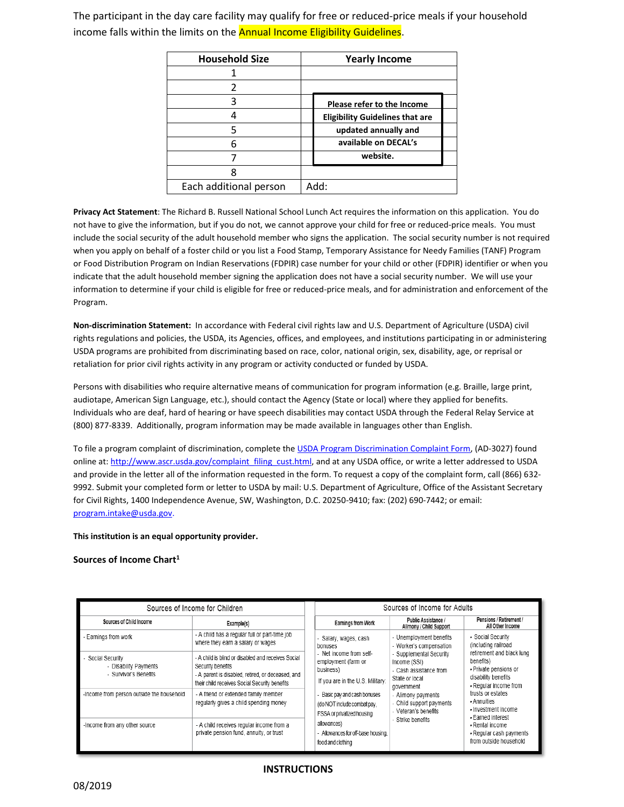The participant in the day care facility may qualify for free or reduced-price meals if your household income falls within the limits on the **Annual Income Eligibility Guidelines**.

| <b>Household Size</b>  | <b>Yearly Income</b>                   |
|------------------------|----------------------------------------|
|                        |                                        |
|                        |                                        |
| 3                      | Please refer to the Income             |
|                        | <b>Eligibility Guidelines that are</b> |
| 5                      | updated annually and                   |
| 6                      | available on DECAL's                   |
|                        | website.                               |
|                        |                                        |
| Each additional person | Add:                                   |

**Privacy Act Statement**: The Richard B. Russell National School Lunch Act requires the information on this application. You do not have to give the information, but if you do not, we cannot approve your child for free or reduced-price meals. You must include the social security of the adult household member who signs the application. The social security number is not required when you apply on behalf of a foster child or you list a Food Stamp, Temporary Assistance for Needy Families (TANF) Program or Food Distribution Program on Indian Reservations (FDPIR) case number for your child or other (FDPIR) identifier or when you indicate that the adult household member signing the application does not have a social security number. We will use your information to determine if your child is eligible for free or reduced-price meals, and for administration and enforcement of the Program.

**Non-discrimination Statement:** In accordance with Federal civil rights law and U.S. Department of Agriculture (USDA) civil rights regulations and policies, the USDA, its Agencies, offices, and employees, and institutions participating in or administering USDA programs are prohibited from discriminating based on race, color, national origin, sex, disability, age, or reprisal or retaliation for prior civil rights activity in any program or activity conducted or funded by USDA.

Persons with disabilities who require alternative means of communication for program information (e.g. Braille, large print, audiotape, American Sign Language, etc.), should contact the Agency (State or local) where they applied for benefits. Individuals who are deaf, hard of hearing or have speech disabilities may contact USDA through the Federal Relay Service at (800) 877-8339. Additionally, program information may be made available in languages other than English.

To file a program complaint of discrimination, complete the [USDA Program Discrimination Complaint Form,](http://www.ocio.usda.gov/sites/default/files/docs/2012/Complain_combined_6_8_12.pdf) (AD-3027) found online at[: http://www.ascr.usda.gov/complaint\\_filing\\_cust.html,](http://www.ascr.usda.gov/complaint_filing_cust.html) and at any USDA office, or write a letter addressed to USDA and provide in the letter all of the information requested in the form. To request a copy of the complaint form, call (866) 632- 9992. Submit your completed form or letter to USDA by mail: U.S. Department of Agriculture, Office of the Assistant Secretary for Civil Rights, 1400 Independence Avenue, SW, Washington, D.C. 20250-9410; fax: (202) 690-7442; or email: [program.intake@usda.gov.](mailto:program.intake@usda.gov)

#### **This institution is an equal opportunity provider.**

**Sources of Income Chart<sup>1</sup>**

| Sources of Income for Children                                    |                                                                                                                                                                               | Sources of Income for Adults                                                                                                                                                                                                     |                                                                                                                                                                             |                                                                                                                                                                                                                                           |  |  |
|-------------------------------------------------------------------|-------------------------------------------------------------------------------------------------------------------------------------------------------------------------------|----------------------------------------------------------------------------------------------------------------------------------------------------------------------------------------------------------------------------------|-----------------------------------------------------------------------------------------------------------------------------------------------------------------------------|-------------------------------------------------------------------------------------------------------------------------------------------------------------------------------------------------------------------------------------------|--|--|
| Sources of Child Income                                           | Example(s)                                                                                                                                                                    | <b>Earnings from Work</b>                                                                                                                                                                                                        | <b>Public Assistance /</b><br>Alimony / Child Support                                                                                                                       | Pensions / Retirement /<br>All Other Income                                                                                                                                                                                               |  |  |
| - Earnings from work                                              | - A child has a regular full or part-time job<br>where they earn a salary or wages                                                                                            | - Salary, wages, cash<br>bonuses<br>- Net income from self-<br>employment (farm or<br>business)<br>If you are in the U.S. Military:<br>- Basic pay and cash bonuses<br>(do NOT include combat pay,<br>FSSA or privatized housing | - Unemployment benefits<br>- Worker's compensation                                                                                                                          | Social Security<br>(including railroad<br>retirement and black lung<br>benefits)<br>- Private pensions or<br>disability benefits<br>- Regular income from<br>trusts or estates<br>- Annuities<br>- Investment income<br>- Earned interest |  |  |
| Social Security<br>- Disability Payments<br>- Survivor's Benefits | - A child is blind or disabled and receives Social<br>Security benefits<br>- A parent is disabled, retired, or deceased, and<br>their child receives Social Security benefits |                                                                                                                                                                                                                                  | - Supplemental Security<br>Income (SSI)<br>- Cash assistance from<br>State or local<br>government<br>- Alimony payments<br>- Child support payments<br>- Veteran's benefits |                                                                                                                                                                                                                                           |  |  |
| -Income from person outside the household                         | - A friend or extended family member<br>regularly gives a child spending money                                                                                                |                                                                                                                                                                                                                                  |                                                                                                                                                                             |                                                                                                                                                                                                                                           |  |  |
| -Income from any other source                                     | - A child receives regular income from a<br>private pension fund, annuity, or trust                                                                                           |                                                                                                                                                                                                                                  | - Strike benefits                                                                                                                                                           | - Rental income<br>- Regular cash payments<br>from outside household                                                                                                                                                                      |  |  |

#### **INSTRUCTIONS**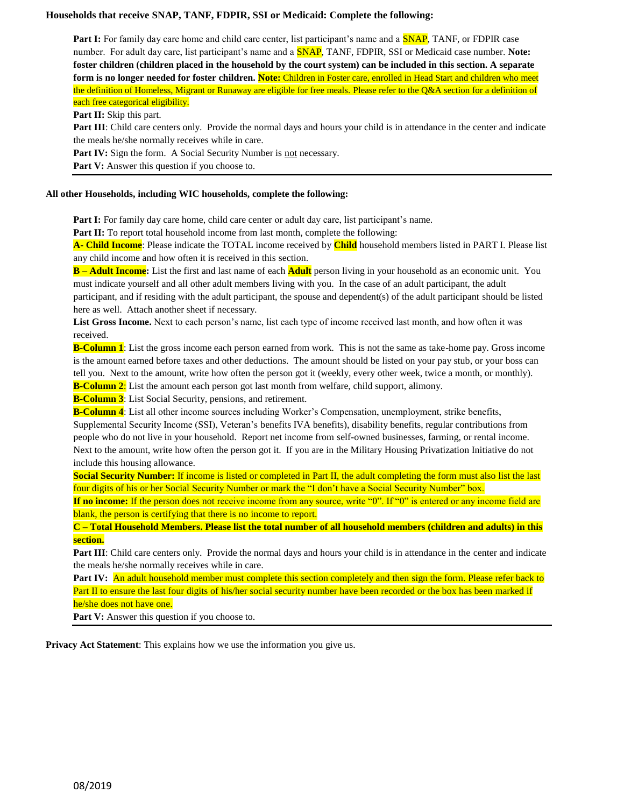#### **Households that receive SNAP, TANF, FDPIR, SSI or Medicaid: Complete the following:**

Part I: For family day care home and child care center, list participant's name and a **SNAP**, TANF, or FDPIR case number. For adult day care, list participant's name and a SNAP, TANF, FDPIR, SSI or Medicaid case number. **Note: foster children (children placed in the household by the court system) can be included in this section. A separate form is no longer needed for foster children. Note:** Children in Foster care, enrolled in Head Start and children who meet the definition of Homeless, Migrant or Runaway are eligible for free meals. Please refer to the Q&A section for a definition of each free categorical eligibility.

#### **Part II:** Skip this part.

**Part III**: Child care centers only. Provide the normal days and hours your child is in attendance in the center and indicate the meals he/she normally receives while in care.

Part IV: Sign the form. A Social Security Number is not necessary.

Part V: Answer this question if you choose to.

#### **All other Households, including WIC households, complete the following:**

**Part I:** For family day care home, child care center or adult day care, list participant's name.

Part II: To report total household income from last month, complete the following:

**A- Child Income**: Please indicate the TOTAL income received by **Child** household members listed in PART I. Please list any child income and how often it is received in this section.

**B** – **Adult Income:** List the first and last name of each **Adult** person living in your household as an economic unit. You must indicate yourself and all other adult members living with you. In the case of an adult participant, the adult participant, and if residing with the adult participant, the spouse and dependent(s) of the adult participant should be listed here as well. Attach another sheet if necessary.

**List Gross Income.** Next to each person's name, list each type of income received last month, and how often it was received.

**B-Column 1**: List the gross income each person earned from work. This is not the same as take-home pay. Gross income is the amount earned before taxes and other deductions. The amount should be listed on your pay stub, or your boss can tell you. Next to the amount, write how often the person got it (weekly, every other week, twice a month, or monthly).

**B-Column 2:** List the amount each person got last month from welfare, child support, alimony.

**B-Column 3**: List Social Security, pensions, and retirement.

**B-Column 4**: List all other income sources including Worker's Compensation, unemployment, strike benefits, Supplemental Security Income (SSI), Veteran's benefits IVA benefits), disability benefits, regular contributions from people who do not live in your household. Report net income from self-owned businesses, farming, or rental income. Next to the amount, write how often the person got it. If you are in the Military Housing Privatization Initiative do not include this housing allowance.

**Social Security Number:** If income is listed or completed in Part II, the adult completing the form must also list the last four digits of his or her Social Security Number or mark the "I don't have a Social Security Number" box.

**If no income:** If the person does not receive income from any source, write "0". If "0" is entered or any income field are blank, the person is certifying that there is no income to report.

**C – Total Household Members. Please list the total number of all household members (children and adults) in this section.**

**Part III**: Child care centers only. Provide the normal days and hours your child is in attendance in the center and indicate the meals he/she normally receives while in care.

Part IV: An adult household member must complete this section completely and then sign the form. Please refer back to Part II to ensure the last four digits of his/her social security number have been recorded or the box has been marked if he/she does not have one.

Part V: Answer this question if you choose to.

**Privacy Act Statement**: This explains how we use the information you give us.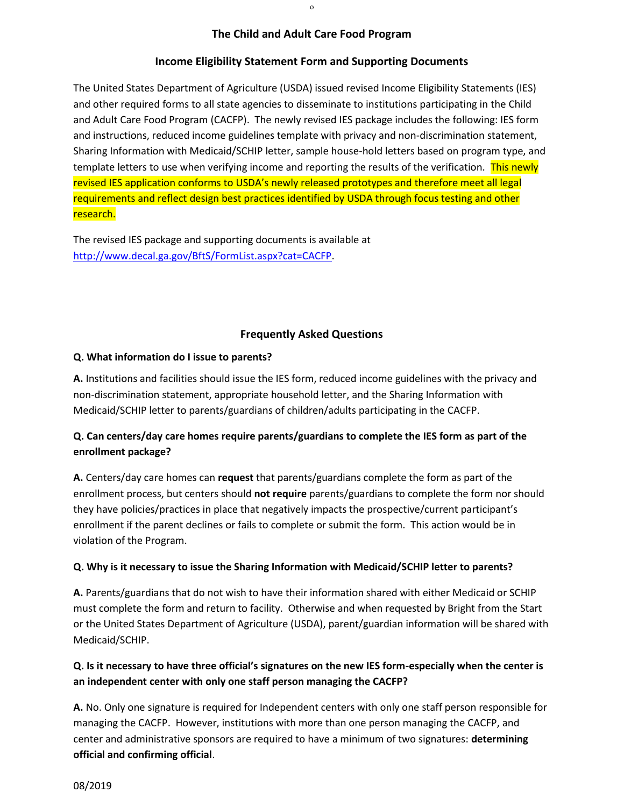### **The Child and Adult Care Food Program**

#### **Income Eligibility Statement Form and Supporting Documents**

The United States Department of Agriculture (USDA) issued revised Income Eligibility Statements (IES) and other required forms to all state agencies to disseminate to institutions participating in the Child and Adult Care Food Program (CACFP). The newly revised IES package includes the following: IES form and instructions, reduced income guidelines template with privacy and non-discrimination statement, Sharing Information with Medicaid/SCHIP letter, sample house-hold letters based on program type, and template letters to use when verifying income and reporting the results of the verification. This newly revised IES application conforms to USDA's newly released prototypes and therefore meet all legal requirements and reflect design best practices identified by USDA through focus testing and other research.

The revised IES package and supporting documents is available at [http://www.decal.ga.gov/BftS/FormList.aspx?cat=CACFP.](http://www.decal.ga.gov/BftS/FormList.aspx?cat=CACFP)

### **Frequently Asked Questions**

### **Q. What information do I issue to parents?**

**A.** Institutions and facilities should issue the IES form, reduced income guidelines with the privacy and non-discrimination statement, appropriate household letter, and the Sharing Information with Medicaid/SCHIP letter to parents/guardians of children/adults participating in the CACFP.

# **Q. Can centers/day care homes require parents/guardians to complete the IES form as part of the enrollment package?**

**A.** Centers/day care homes can **request** that parents/guardians complete the form as part of the enrollment process, but centers should **not require** parents/guardians to complete the form nor should they have policies/practices in place that negatively impacts the prospective/current participant's enrollment if the parent declines or fails to complete or submit the form. This action would be in violation of the Program.

### **Q. Why is it necessary to issue the Sharing Information with Medicaid/SCHIP letter to parents?**

**A.** Parents/guardians that do not wish to have their information shared with either Medicaid or SCHIP must complete the form and return to facility. Otherwise and when requested by Bright from the Start or the United States Department of Agriculture (USDA), parent/guardian information will be shared with Medicaid/SCHIP.

## **Q. Is it necessary to have three official's signatures on the new IES form-especially when the center is an independent center with only one staff person managing the CACFP?**

**A.** No. Only one signature is required for Independent centers with only one staff person responsible for managing the CACFP. However, institutions with more than one person managing the CACFP, and center and administrative sponsors are required to have a minimum of two signatures: **determining official and confirming official**.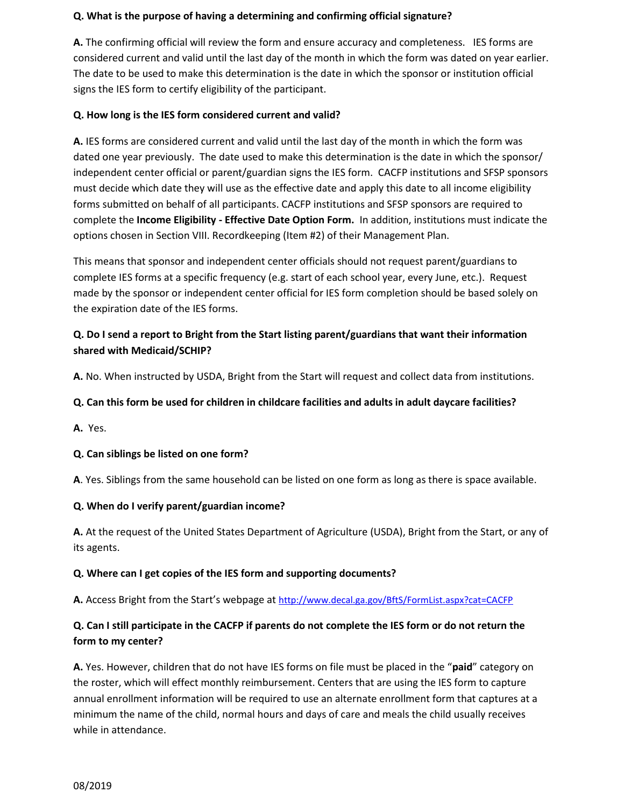## **Q. What is the purpose of having a determining and confirming official signature?**

**A.** The confirming official will review the form and ensure accuracy and completeness. IES forms are considered current and valid until the last day of the month in which the form was dated on year earlier. The date to be used to make this determination is the date in which the sponsor or institution official signs the IES form to certify eligibility of the participant.

## **Q. How long is the IES form considered current and valid?**

**A.** IES forms are considered current and valid until the last day of the month in which the form was dated one year previously. The date used to make this determination is the date in which the sponsor/ independent center official or parent/guardian signs the IES form. CACFP institutions and SFSP sponsors must decide which date they will use as the effective date and apply this date to all income eligibility forms submitted on behalf of all participants. CACFP institutions and SFSP sponsors are required to complete the **Income Eligibility - Effective Date Option Form.** In addition, institutions must indicate the options chosen in Section VIII. Recordkeeping (Item #2) of their Management Plan.

This means that sponsor and independent center officials should not request parent/guardians to complete IES forms at a specific frequency (e.g. start of each school year, every June, etc.). Request made by the sponsor or independent center official for IES form completion should be based solely on the expiration date of the IES forms.

## **Q. Do I send a report to Bright from the Start listing parent/guardians that want their information shared with Medicaid/SCHIP?**

**A.** No. When instructed by USDA, Bright from the Start will request and collect data from institutions.

## **Q. Can this form be used for children in childcare facilities and adults in adult daycare facilities?**

**A.** Yes.

## **Q. Can siblings be listed on one form?**

**A**. Yes. Siblings from the same household can be listed on one form as long as there is space available.

### **Q. When do I verify parent/guardian income?**

**A.** At the request of the United States Department of Agriculture (USDA), Bright from the Start, or any of its agents.

### **Q. Where can I get copies of the IES form and supporting documents?**

**A.** Access Bright from the Start's webpage at <http://www.decal.ga.gov/BftS/FormList.aspx?cat=CACFP>

# **Q. Can I still participate in the CACFP if parents do not complete the IES form or do not return the form to my center?**

**A.** Yes. However, children that do not have IES forms on file must be placed in the "**paid**" category on the roster, which will effect monthly reimbursement. Centers that are using the IES form to capture annual enrollment information will be required to use an alternate enrollment form that captures at a minimum the name of the child, normal hours and days of care and meals the child usually receives while in attendance.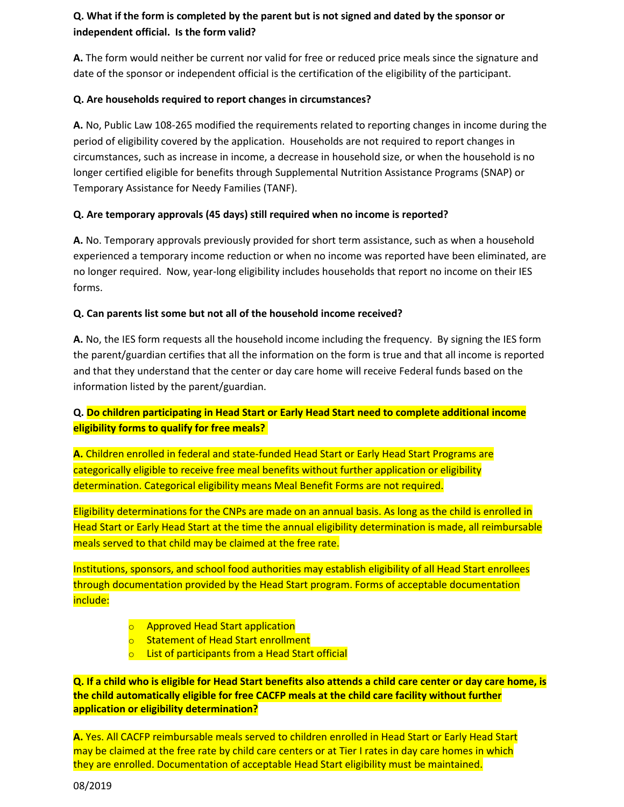# **Q. What if the form is completed by the parent but is not signed and dated by the sponsor or independent official. Is the form valid?**

**A.** The form would neither be current nor valid for free or reduced price meals since the signature and date of the sponsor or independent official is the certification of the eligibility of the participant.

## **Q. Are households required to report changes in circumstances?**

**A.** No, Public Law 108-265 modified the requirements related to reporting changes in income during the period of eligibility covered by the application. Households are not required to report changes in circumstances, such as increase in income, a decrease in household size, or when the household is no longer certified eligible for benefits through Supplemental Nutrition Assistance Programs (SNAP) or Temporary Assistance for Needy Families (TANF).

## **Q. Are temporary approvals (45 days) still required when no income is reported?**

**A.** No. Temporary approvals previously provided for short term assistance, such as when a household experienced a temporary income reduction or when no income was reported have been eliminated, are no longer required. Now, year-long eligibility includes households that report no income on their IES forms.

## **Q. Can parents list some but not all of the household income received?**

**A.** No, the IES form requests all the household income including the frequency. By signing the IES form the parent/guardian certifies that all the information on the form is true and that all income is reported and that they understand that the center or day care home will receive Federal funds based on the information listed by the parent/guardian.

# **Q. Do children participating in Head Start or Early Head Start need to complete additional income eligibility forms to qualify for free meals?**

**A.** Children enrolled in federal and state-funded Head Start or Early Head Start Programs are categorically eligible to receive free meal benefits without further application or eligibility determination. Categorical eligibility means Meal Benefit Forms are not required.

Eligibility determinations for the CNPs are made on an annual basis. As long as the child is enrolled in Head Start or Early Head Start at the time the annual eligibility determination is made, all reimbursable meals served to that child may be claimed at the free rate.

Institutions, sponsors, and school food authorities may establish eligibility of all Head Start enrollees through documentation provided by the Head Start program. Forms of acceptable documentation include:

- o Approved Head Start application
- o Statement of Head Start enrollment
- o List of participants from a Head Start official

**Q. If a child who is eligible for Head Start benefits also attends a child care center or day care home, is the child automatically eligible for free CACFP meals at the child care facility without further application or eligibility determination?**

**A.** Yes. All CACFP reimbursable meals served to children enrolled in Head Start or Early Head Start may be claimed at the free rate by child care centers or at Tier I rates in day care homes in which they are enrolled. Documentation of acceptable Head Start eligibility must be maintained.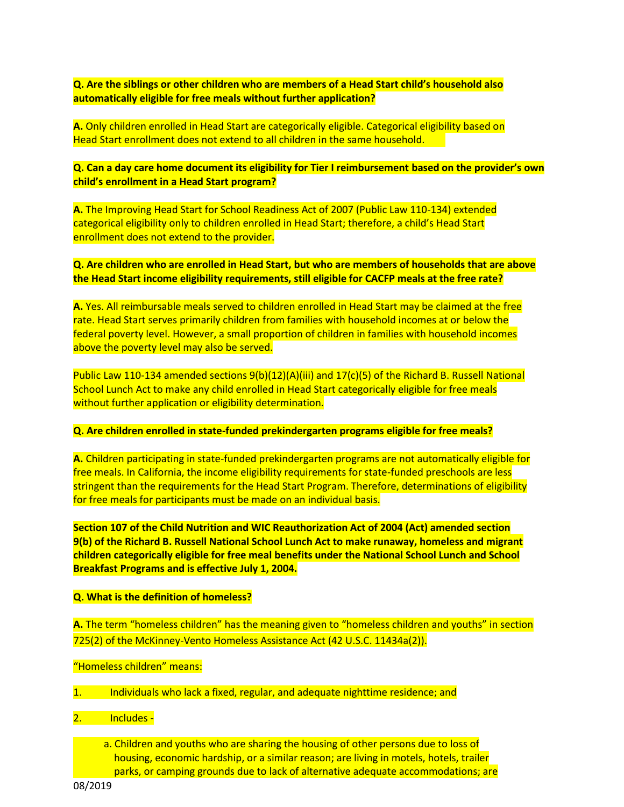**Q. Are the siblings or other children who are members of a Head Start child's household also automatically eligible for free meals without further application?**

**A.** Only children enrolled in Head Start are categorically eligible. Categorical eligibility based on Head Start enrollment does not extend to all children in the same household.

**Q. Can a day care home document its eligibility for Tier I reimbursement based on the provider's own child's enrollment in a Head Start program?**

**A.** The Improving Head Start for School Readiness Act of 2007 (Public Law 110-134) extended categorical eligibility only to children enrolled in Head Start; therefore, a child's Head Start enrollment does not extend to the provider.

**Q. Are children who are enrolled in Head Start, but who are members of households that are above the Head Start income eligibility requirements, still eligible for CACFP meals at the free rate?**

**A.** Yes. All reimbursable meals served to children enrolled in Head Start may be claimed at the free rate. Head Start serves primarily children from families with household incomes at or below the federal poverty level. However, a small proportion of children in families with household incomes above the poverty level may also be served.

Public Law 110-134 amended sections 9(b)(12)(A)(iii) and 17(c)(5) of the Richard B. Russell National School Lunch Act to make any child enrolled in Head Start categorically eligible for free meals without further application or eligibility determination.

**Q. Are children enrolled in state-funded prekindergarten programs eligible for free meals?**

**A.** Children participating in state-funded prekindergarten programs are not automatically eligible for free meals. In California, the income eligibility requirements for state-funded preschools are less stringent than the requirements for the Head Start Program. Therefore, determinations of eligibility for free meals for participants must be made on an individual basis.

**Section 107 of the Child Nutrition and WIC Reauthorization Act of 2004 (Act) amended section 9(b) of the Richard B. Russell National School Lunch Act to make runaway, homeless and migrant children categorically eligible for free meal benefits under the National School Lunch and School Breakfast Programs and is effective July 1, 2004.**

#### **Q. What is the definition of homeless?**

**A.** The term "homeless children" has the meaning given to "homeless children and youths" in section 725(2) of the McKinney-Vento Homeless Assistance Act (42 U.S.C. 11434a(2)).

"Homeless children" means:

- 1. Individuals who lack a fixed, regular, and adequate nighttime residence; and
- 2. Includes
	- a. Children and youths who are sharing the housing of other persons due to loss of housing, economic hardship, or a similar reason; are living in motels, hotels, trailer parks, or camping grounds due to lack of alternative adequate accommodations; are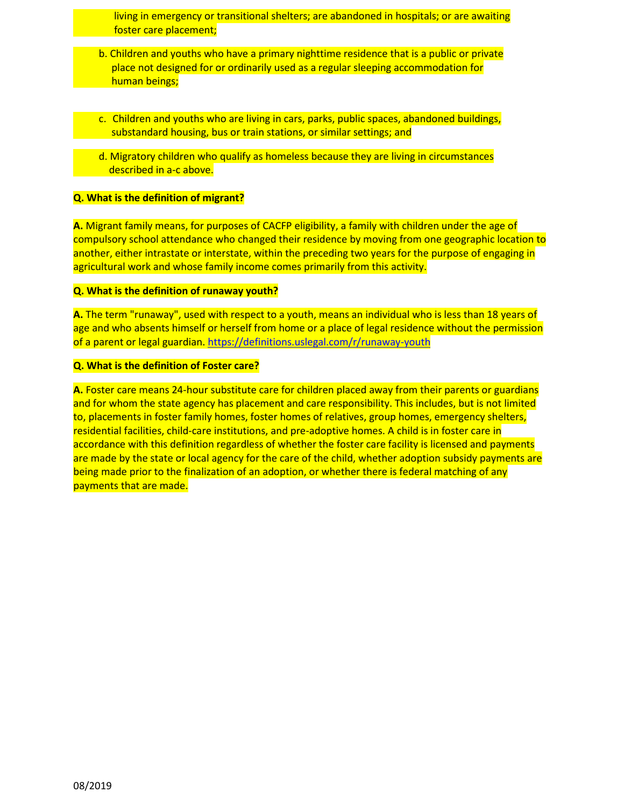living in emergency or transitional shelters; are abandoned in hospitals; or are awaiting foster care placement;

- b. Children and youths who have a primary nighttime residence that is a public or private place not designed for or ordinarily used as a regular sleeping accommodation for human beings;
- c. Children and youths who are living in cars, parks, public spaces, abandoned buildings, substandard housing, bus or train stations, or similar settings; and
- d. Migratory children who qualify as homeless because they are living in circumstances described in a-c above.

### **Q. What is the definition of migrant?**

**A.** Migrant family means, for purposes of CACFP eligibility, a family with children under the age of compulsory school attendance who changed their residence by moving from one geographic location to another, either intrastate or interstate, within the preceding two years for the purpose of engaging in agricultural work and whose family income comes primarily from this activity.

#### **Q. What is the definition of runaway youth?**

**A.** The term "runaway", used with respect to a youth, means an individual who is less than 18 years of age and who absents himself or herself from home or a place of legal residence without the permission of a parent or legal guardian. [https://definitions.uslegal.com/r/runaway-youth](https://definitions.uslegal.com/r/runaway-youth.)

### **Q. What is the definition of Foster care?**

**A.** Foster care means 24-hour substitute care for children placed away from their parents or guardians and for whom the state agency has placement and care responsibility. This includes, but is not limited to, placements in foster family homes, foster homes of relatives, group homes, emergency shelters, residential facilities, child-care institutions, and pre-adoptive homes. A child is in foster care in accordance with this definition regardless of whether the foster care facility is licensed and payments are made by the state or local agency for the care of the child, whether adoption subsidy payments are being made prior to the finalization of an adoption, or whether there is federal matching of any payments that are made.